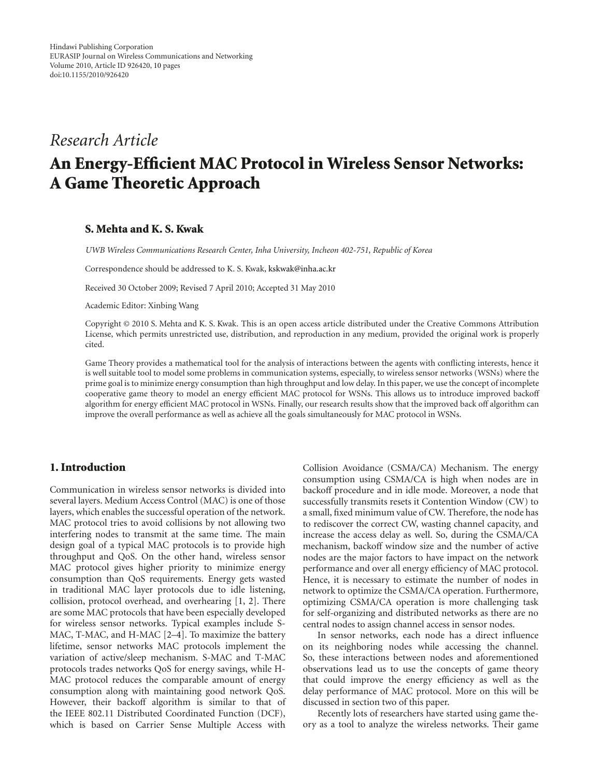# *Research Article* **An Energy-Efficient MAC Protocol in Wireless Sensor Networks: A Game Theoretic Approach**

# **S. Mehta and K. S. Kwak**

*UWB Wireless Communications Research Center, Inha University, Incheon 402-751, Republic of Korea*

Correspondence should be addressed to K. S. Kwak, kskwak@inha.ac.kr

Received 30 October 2009; Revised 7 April 2010; Accepted 31 May 2010

Academic Editor: Xinbing Wang

Copyright © 2010 S. Mehta and K. S. Kwak. This is an open access article distributed under the Creative Commons Attribution License, which permits unrestricted use, distribution, and reproduction in any medium, provided the original work is properly cited.

Game Theory provides a mathematical tool for the analysis of interactions between the agents with conflicting interests, hence it is well suitable tool to model some problems in communication systems, especially, to wireless sensor networks (WSNs) where the prime goal is to minimize energy consumption than high throughput and low delay. In this paper, we use the concept of incomplete cooperative game theory to model an energy efficient MAC protocol for WSNs. This allows us to introduce improved backoff algorithm for energy efficient MAC protocol in WSNs. Finally, our research results show that the improved back off algorithm can improve the overall performance as well as achieve all the goals simultaneously for MAC protocol in WSNs.

# **1. Introduction**

Communication in wireless sensor networks is divided into several layers. Medium Access Control (MAC) is one of those layers, which enables the successful operation of the network. MAC protocol tries to avoid collisions by not allowing two interfering nodes to transmit at the same time. The main design goal of a typical MAC protocols is to provide high throughput and QoS. On the other hand, wireless sensor MAC protocol gives higher priority to minimize energy consumption than QoS requirements. Energy gets wasted in traditional MAC layer protocols due to idle listening, collision, protocol overhead, and overhearing [1, 2]. There are some MAC protocols that have been especially developed for wireless sensor networks. Typical examples include S-MAC, T-MAC, and H-MAC [2–4]. To maximize the battery lifetime, sensor networks MAC protocols implement the variation of active/sleep mechanism. S-MAC and T-MAC protocols trades networks QoS for energy savings, while H-MAC protocol reduces the comparable amount of energy consumption along with maintaining good network QoS. However, their backoff algorithm is similar to that of the IEEE 802.11 Distributed Coordinated Function (DCF), which is based on Carrier Sense Multiple Access with

Collision Avoidance (CSMA/CA) Mechanism. The energy consumption using CSMA/CA is high when nodes are in backoff procedure and in idle mode. Moreover, a node that successfully transmits resets it Contention Window (CW) to a small, fixed minimum value of CW. Therefore, the node has to rediscover the correct CW, wasting channel capacity, and increase the access delay as well. So, during the CSMA/CA mechanism, backoff window size and the number of active nodes are the major factors to have impact on the network performance and over all energy efficiency of MAC protocol. Hence, it is necessary to estimate the number of nodes in network to optimize the CSMA/CA operation. Furthermore, optimizing CSMA/CA operation is more challenging task for self-organizing and distributed networks as there are no central nodes to assign channel access in sensor nodes.

In sensor networks, each node has a direct influence on its neighboring nodes while accessing the channel. So, these interactions between nodes and aforementioned observations lead us to use the concepts of game theory that could improve the energy efficiency as well as the delay performance of MAC protocol. More on this will be discussed in section two of this paper.

Recently lots of researchers have started using game theory as a tool to analyze the wireless networks. Their game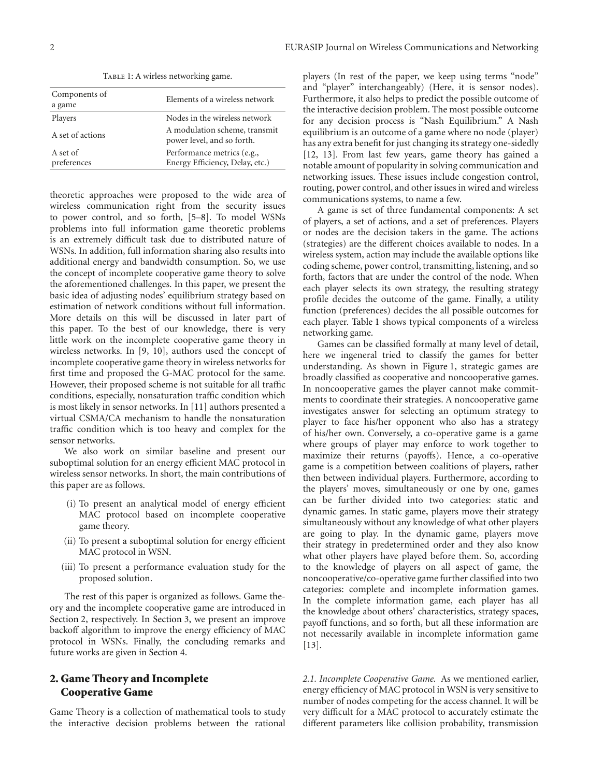TABLE 1: A wirless networking game.

| Components of    | Elements of a wireless network                              |  |  |
|------------------|-------------------------------------------------------------|--|--|
| a game           |                                                             |  |  |
| Players          | Nodes in the wireless network                               |  |  |
| A set of actions | A modulation scheme, transmit<br>power level, and so forth. |  |  |
| A set of         | Performance metrics (e.g.,                                  |  |  |
| preferences      | Energy Efficiency, Delay, etc.)                             |  |  |
|                  |                                                             |  |  |

theoretic approaches were proposed to the wide area of wireless communication right from the security issues to power control, and so forth, [5–8]. To model WSNs problems into full information game theoretic problems is an extremely difficult task due to distributed nature of WSNs. In addition, full information sharing also results into additional energy and bandwidth consumption. So, we use the concept of incomplete cooperative game theory to solve the aforementioned challenges. In this paper, we present the basic idea of adjusting nodes' equilibrium strategy based on estimation of network conditions without full information. More details on this will be discussed in later part of this paper. To the best of our knowledge, there is very little work on the incomplete cooperative game theory in wireless networks. In [9, 10], authors used the concept of incomplete cooperative game theory in wireless networks for first time and proposed the G-MAC protocol for the same. However, their proposed scheme is not suitable for all traffic conditions, especially, nonsaturation traffic condition which is most likely in sensor networks. In [11] authors presented a virtual CSMA/CA mechanism to handle the nonsaturation traffic condition which is too heavy and complex for the sensor networks.

We also work on similar baseline and present our suboptimal solution for an energy efficient MAC protocol in wireless sensor networks. In short, the main contributions of this paper are as follows.

- (i) To present an analytical model of energy efficient MAC protocol based on incomplete cooperative game theory.
- (ii) To present a suboptimal solution for energy efficient MAC protocol in WSN.
- (iii) To present a performance evaluation study for the proposed solution.

The rest of this paper is organized as follows. Game theory and the incomplete cooperative game are introduced in Section 2, respectively. In Section 3, we present an improve backoff algorithm to improve the energy efficiency of MAC protocol in WSNs. Finally, the concluding remarks and future works are given in Section 4.

# **2. Game Theory and Incomplete Cooperative Game**

Game Theory is a collection of mathematical tools to study the interactive decision problems between the rational

players (In rest of the paper, we keep using terms "node" and "player" interchangeably) (Here, it is sensor nodes). Furthermore, it also helps to predict the possible outcome of the interactive decision problem. The most possible outcome for any decision process is "Nash Equilibrium." A Nash equilibrium is an outcome of a game where no node (player) has any extra benefit for just changing its strategy one-sidedly [12, 13]. From last few years, game theory has gained a notable amount of popularity in solving communication and networking issues. These issues include congestion control, routing, power control, and other issues in wired and wireless communications systems, to name a few.

A game is set of three fundamental components: A set of players, a set of actions, and a set of preferences. Players or nodes are the decision takers in the game. The actions (strategies) are the different choices available to nodes. In a wireless system, action may include the available options like coding scheme, power control, transmitting, listening, and so forth, factors that are under the control of the node. When each player selects its own strategy, the resulting strategy profile decides the outcome of the game. Finally, a utility function (preferences) decides the all possible outcomes for each player. Table 1 shows typical components of a wireless networking game.

Games can be classified formally at many level of detail, here we ingeneral tried to classify the games for better understanding. As shown in Figure 1, strategic games are broadly classified as cooperative and noncooperative games. In noncooperative games the player cannot make commitments to coordinate their strategies. A noncooperative game investigates answer for selecting an optimum strategy to player to face his/her opponent who also has a strategy of his/her own. Conversely, a co-operative game is a game where groups of player may enforce to work together to maximize their returns (payoffs). Hence, a co-operative game is a competition between coalitions of players, rather then between individual players. Furthermore, according to the players' moves, simultaneously or one by one, games can be further divided into two categories: static and dynamic games. In static game, players move their strategy simultaneously without any knowledge of what other players are going to play. In the dynamic game, players move their strategy in predetermined order and they also know what other players have played before them. So, according to the knowledge of players on all aspect of game, the noncooperative/co-operative game further classified into two categories: complete and incomplete information games. In the complete information game, each player has all the knowledge about others' characteristics, strategy spaces, payoff functions, and so forth, but all these information are not necessarily available in incomplete information game [13].

*2.1. Incomplete Cooperative Game.* As we mentioned earlier, energy efficiency of MAC protocol in WSN is very sensitive to number of nodes competing for the access channel. It will be very difficult for a MAC protocol to accurately estimate the different parameters like collision probability, transmission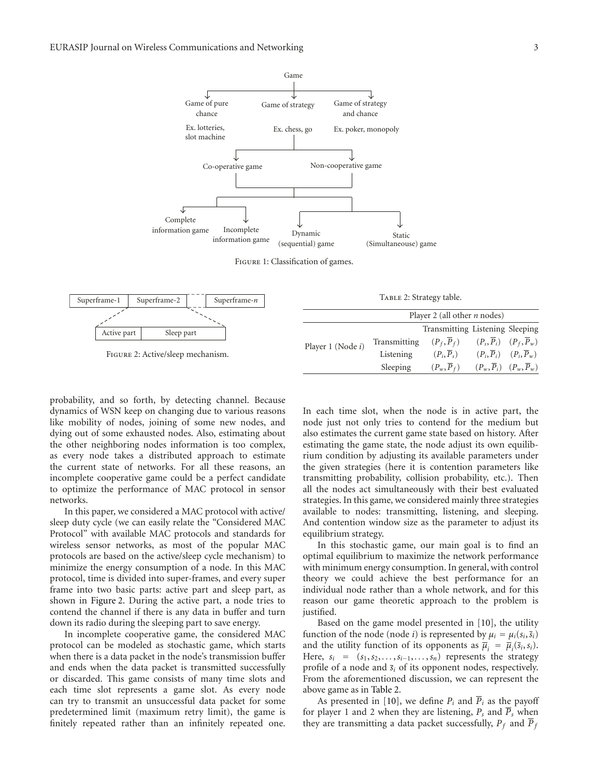

Figure 1: Classification of games.



Figure 2: Active/sleep mechanism.

probability, and so forth, by detecting channel. Because dynamics of WSN keep on changing due to various reasons like mobility of nodes, joining of some new nodes, and dying out of some exhausted nodes. Also, estimating about the other neighboring nodes information is too complex, as every node takes a distributed approach to estimate the current state of networks. For all these reasons, an incomplete cooperative game could be a perfect candidate to optimize the performance of MAC protocol in sensor networks.

In this paper, we considered a MAC protocol with active/ sleep duty cycle (we can easily relate the "Considered MAC Protocol" with available MAC protocols and standards for wireless sensor networks, as most of the popular MAC protocols are based on the active/sleep cycle mechanism) to minimize the energy consumption of a node. In this MAC protocol, time is divided into super-frames, and every super frame into two basic parts: active part and sleep part, as shown in Figure 2. During the active part, a node tries to contend the channel if there is any data in buffer and turn down its radio during the sleeping part to save energy.

In incomplete cooperative game, the considered MAC protocol can be modeled as stochastic game, which starts when there is a data packet in the node's transmission buffer and ends when the data packet is transmitted successfully or discarded. This game consists of many time slots and each time slot represents a game slot. As every node can try to transmit an unsuccessful data packet for some predetermined limit (maximum retry limit), the game is finitely repeated rather than an infinitely repeated one.

TABLE 2: Strategy table.

|                   | Player 2 (all other $n$ nodes) |                                                                         |                                                 |                                                 |
|-------------------|--------------------------------|-------------------------------------------------------------------------|-------------------------------------------------|-------------------------------------------------|
| Player 1 (Node i) |                                | Transmitting Listening Sleeping                                         |                                                 |                                                 |
|                   | Transmitting                   | $(P_f, \overline{P}_f)$ $(P_s, \overline{P}_i)$ $(P_f, \overline{P}_w)$ |                                                 |                                                 |
|                   | Listening                      | $(P_i, P_s)$                                                            |                                                 | $(P_i, \overline{P}_i)$ $(P_i, \overline{P}_w)$ |
|                   | Sleeping                       | $(P_w, P_f)$                                                            | $(P_w, \overline{P}_i)$ $(P_w, \overline{P}_w)$ |                                                 |

In each time slot, when the node is in active part, the node just not only tries to contend for the medium but also estimates the current game state based on history. After estimating the game state, the node adjust its own equilibrium condition by adjusting its available parameters under the given strategies (here it is contention parameters like transmitting probability, collision probability, etc.). Then all the nodes act simultaneously with their best evaluated strategies. In this game, we considered mainly three strategies available to nodes: transmitting, listening, and sleeping. And contention window size as the parameter to adjust its equilibrium strategy.

In this stochastic game, our main goal is to find an optimal equilibrium to maximize the network performance with minimum energy consumption. In general, with control theory we could achieve the best performance for an individual node rather than a whole network, and for this reason our game theoretic approach to the problem is justified.

Based on the game model presented in [10], the utility function of the node (node *i*) is represented by  $\mu_i = \mu_i(s_i, \bar{s}_i)$ and the utility function of its opponents as  $\overline{\mu}_i = \overline{\mu}_i(\overline{s}_i, s_i)$ . Here,  $s_i = (s_1, s_2, \ldots, s_{i-1}, \ldots, s_n)$  represents the strategy profile of a node and *si* of its opponent nodes, respectively. From the aforementioned discussion, we can represent the above game as in Table 2.

As presented in [10], we define  $P_i$  and  $\overline{P}_i$  as the payoff for player 1 and 2 when they are listening,  $P_s$  and  $\overline{P}_s$  when they are transmitting a data packet successfully,  $P_f$  and  $\overline{P}_f$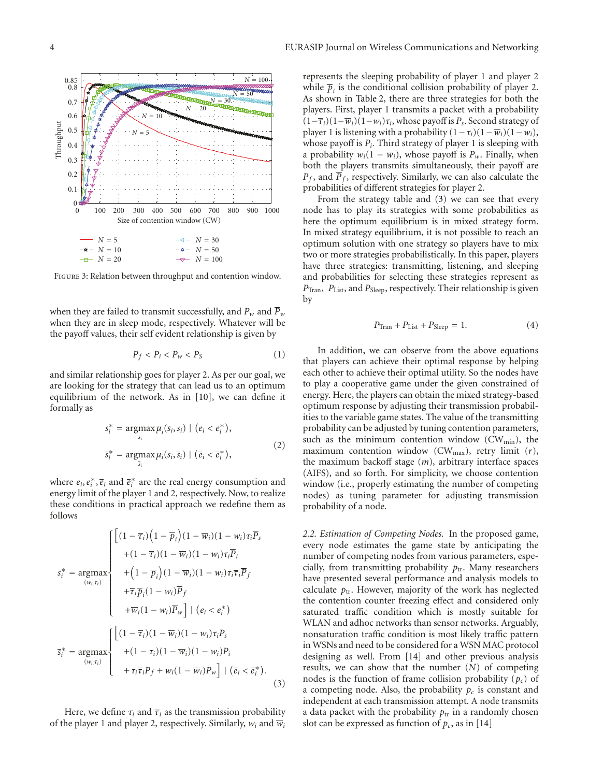

Figure 3: Relation between throughput and contention window.

when they are failed to transmit successfully, and  $P_w$  and  $\overline{P}_w$ when they are in sleep mode, respectively. Whatever will be the payoff values, their self evident relationship is given by

$$
P_f < P_i < P_w < P_S \tag{1}
$$

and similar relationship goes for player 2. As per our goal, we are looking for the strategy that can lead us to an optimum equilibrium of the network. As in [10], we can define it formally as

$$
s_i^* = \underset{s_i}{\operatorname{argmax}} \overline{\mu}_i(\overline{s}_i, s_i) \mid (e_i < e_i^*),
$$
\n
$$
\overline{s}_i^* = \underset{\overline{s}_i}{\operatorname{argmax}} \mu_i(s_i, \overline{s}_i) \mid (\overline{e}_i < \overline{e}_i^*),
$$
\n
$$
(2)
$$

where  $e_i$ ,  $e_i^*, \overline{e}_i$  and  $\overline{e}_i^*$  are the real energy consumption and energy limit of the player 1 and 2, respectively. Now, to realize these conditions in practical approach we redefine them as follows

$$
s_i^* = \underset{(w_{i,\tau_i})}{\operatorname{argmax}} \begin{cases} \left[ (1 - \overline{\tau}_i) \left( 1 - \overline{p}_i \right) (1 - \overline{w}_i) (1 - w_i) \tau_i \overline{P}_s \right. \\ \left. + (1 - \overline{\tau}_i) (1 - \overline{w}_i) (1 - w_i) \tau_i \overline{P}_i \right. \\ \left. + (1 - \overline{p}_i) (1 - \overline{w}_i) (1 - w_i) \tau_i \overline{\tau}_i \overline{P}_f \right. \\ \left. + \overline{\tau}_i \overline{p}_i (1 - w_i) \overline{P}_f \right. \\ \left. + \overline{w}_i (1 - w_i) \overline{P}_w \right] \mid (e_i < e_i^*) \right. \\ \left. \overline{s}_i^* = \underset{(w_{i,\tau_i})}{\operatorname{argmax}} \begin{cases} \left[ (1 - \overline{\tau}_i) (1 - \overline{w}_i) (1 - w_i) \tau_i P_s \right. \\ \left. + (1 - \tau_i) (1 - \overline{w}_i) (1 - w_i) P_i \right. \\ \left. + \tau_i \overline{\tau}_i P_f + w_i (1 - \overline{w}_i) P_w \right] \mid (\overline{e}_i < \overline{e}_i^*) \end{cases} \end{cases} \tag{3}
$$

Here, we define  $\tau_i$  and  $\bar{\tau}_i$  as the transmission probability of the player 1 and player 2, respectively. Similarly,  $w_i$  and  $\overline{w_i}$ 

represents the sleeping probability of player 1 and player 2 while  $\bar{p}_i$  is the conditional collision probability of player 2. As shown in Table 2, there are three strategies for both the players. First, player 1 transmits a packet with a probability  $(1-\overline{\tau}_i)(1-\overline{w}_i)(1-w_i)\tau_i$ , whose payoff is  $P_s$ . Second strategy of player 1 is listening with a probability  $(1 - \tau_i)(1 - \overline{w}_i)(1 - w_i)$ , whose payoff is  $P_i$ . Third strategy of player 1 is sleeping with a probability  $w_i(1 - \overline{w}_i)$ , whose payoff is  $P_w$ . Finally, when both the players transmits simultaneously, their payoff are  $P_f$ , and  $\overline{P}_f$ , respectively. Similarly, we can also calculate the probabilities of different strategies for player 2.

From the strategy table and (3) we can see that every node has to play its strategies with some probabilities as here the optimum equilibrium is in mixed strategy form. In mixed strategy equilibrium, it is not possible to reach an optimum solution with one strategy so players have to mix two or more strategies probabilistically. In this paper, players have three strategies: transmitting, listening, and sleeping and probabilities for selecting these strategies represent as *P*Tran, *P*List, and *P*Sleep, respectively. Their relationship is given by

$$
P_{\text{Tran}} + P_{\text{List}} + P_{\text{sleep}} = 1. \tag{4}
$$

In addition, we can observe from the above equations that players can achieve their optimal response by helping each other to achieve their optimal utility. So the nodes have to play a cooperative game under the given constrained of energy. Here, the players can obtain the mixed strategy-based optimum response by adjusting their transmission probabilities to the variable game states. The value of the transmitting probability can be adjusted by tuning contention parameters, such as the minimum contention window  $(CW_{min})$ , the maximum contention window (CWmax), retry limit (*r*), the maximum backoff stage (*m*), arbitrary interface spaces (AIFS), and so forth. For simplicity, we choose contention window (i.e., properly estimating the number of competing nodes) as tuning parameter for adjusting transmission probability of a node.

*2.2. Estimation of Competing Nodes.* In the proposed game, every node estimates the game state by anticipating the number of competing nodes from various parameters, especially, from transmitting probability  $p_{tr}$ . Many researchers have presented several performance and analysis models to calculate  $p_{tr}$ . However, majority of the work has neglected the contention counter freezing effect and considered only saturated traffic condition which is mostly suitable for WLAN and adhoc networks than sensor networks. Arguably, nonsaturation traffic condition is most likely traffic pattern in WSNs and need to be considered for a WSN MAC protocol designing as well. From [14] and other previous analysis results, we can show that the number (*N*) of competing nodes is the function of frame collision probability  $(p_c)$  of a competing node. Also, the probability  $p_c$  is constant and independent at each transmission attempt. A node transmits a data packet with the probability  $p_{tr}$  in a randomly chosen slot can be expressed as function of  $p_c$ , as in [14]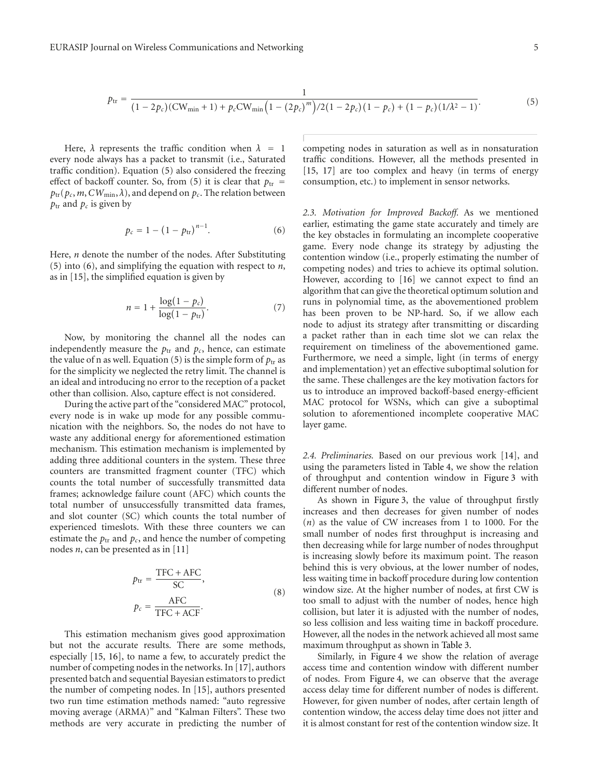$$
p_{\text{tr}} = \frac{1}{(1 - 2p_c)(\text{CW}_{\min} + 1) + p_c \text{CW}_{\min} \left(1 - (2p_c)^m\right) / 2(1 - 2p_c)(1 - p_c) + (1 - p_c)(1/\lambda^2 - 1)}.
$$
(5)

Here,  $\lambda$  represents the traffic condition when  $\lambda = 1$ every node always has a packet to transmit (i.e., Saturated traffic condition). Equation (5) also considered the freezing effect of backoff counter. So, from (5) it is clear that  $p_{tr}$  =  $p_{\text{tr}}(p_c, m, CW_{\text{min}}, \lambda)$ , and depend on  $p_c$ . The relation between  $p_{tr}$  and  $p_c$  is given by

$$
p_c = 1 - (1 - p_{tr})^{n-1}.
$$
 (6)

Here, *n* denote the number of the nodes. After Substituting (5) into (6), and simplifying the equation with respect to *n*, as in [15], the simplified equation is given by

$$
n = 1 + \frac{\log(1 - p_c)}{\log(1 - p_{\text{tr}})}.
$$
\n(7)

Now, by monitoring the channel all the nodes can independently measure the  $p_{tr}$  and  $p_c$ , hence, can estimate the value of n as well. Equation (5) is the simple form of  $p_{tr}$  as for the simplicity we neglected the retry limit. The channel is an ideal and introducing no error to the reception of a packet other than collision. Also, capture effect is not considered.

During the active part of the "considered MAC" protocol, every node is in wake up mode for any possible communication with the neighbors. So, the nodes do not have to waste any additional energy for aforementioned estimation mechanism. This estimation mechanism is implemented by adding three additional counters in the system. These three counters are transmitted fragment counter (TFC) which counts the total number of successfully transmitted data frames; acknowledge failure count (AFC) which counts the total number of unsuccessfully transmitted data frames, and slot counter (SC) which counts the total number of experienced timeslots. With these three counters we can estimate the  $p_{tr}$  and  $p_c$ , and hence the number of competing nodes *n*, can be presented as in [11]

$$
p_{tr} = \frac{TFC + AFC}{SC},
$$
  
\n
$$
p_c = \frac{AFC}{TFC + ACF}.
$$
\n(8)

This estimation mechanism gives good approximation but not the accurate results. There are some methods, especially [15, 16], to name a few, to accurately predict the number of competing nodes in the networks. In [17], authors presented batch and sequential Bayesian estimators to predict the number of competing nodes. In [15], authors presented two run time estimation methods named: "auto regressive moving average (ARMA)" and "Kalman Filters". These two methods are very accurate in predicting the number of competing nodes in saturation as well as in nonsaturation traffic conditions. However, all the methods presented in [15, 17] are too complex and heavy (in terms of energy consumption, etc.) to implement in sensor networks.

*2.3. Motivation for Improved Backoff.* As we mentioned earlier, estimating the game state accurately and timely are the key obstacles in formulating an incomplete cooperative game. Every node change its strategy by adjusting the contention window (i.e., properly estimating the number of competing nodes) and tries to achieve its optimal solution. However, according to [16] we cannot expect to find an algorithm that can give the theoretical optimum solution and runs in polynomial time, as the abovementioned problem has been proven to be NP-hard. So, if we allow each node to adjust its strategy after transmitting or discarding a packet rather than in each time slot we can relax the requirement on timeliness of the abovementioned game. Furthermore, we need a simple, light (in terms of energy and implementation) yet an effective suboptimal solution for the same. These challenges are the key motivation factors for us to introduce an improved backoff-based energy-efficient MAC protocol for WSNs, which can give a suboptimal solution to aforementioned incomplete cooperative MAC layer game.

*2.4. Preliminaries.* Based on our previous work [14], and using the parameters listed in Table 4, we show the relation of throughput and contention window in Figure 3 with different number of nodes.

As shown in Figure 3, the value of throughput firstly increases and then decreases for given number of nodes (*n*) as the value of CW increases from 1 to 1000. For the small number of nodes first throughput is increasing and then decreasing while for large number of nodes throughput is increasing slowly before its maximum point. The reason behind this is very obvious, at the lower number of nodes, less waiting time in backoff procedure during low contention window size. At the higher number of nodes, at first CW is too small to adjust with the number of nodes, hence high collision, but later it is adjusted with the number of nodes, so less collision and less waiting time in backoff procedure. However, all the nodes in the network achieved all most same maximum throughput as shown in Table 3.

Similarly, in Figure 4 we show the relation of average access time and contention window with different number of nodes. From Figure 4, we can observe that the average access delay time for different number of nodes is different. However, for given number of nodes, after certain length of contention window, the access delay time does not jitter and it is almost constant for rest of the contention window size. It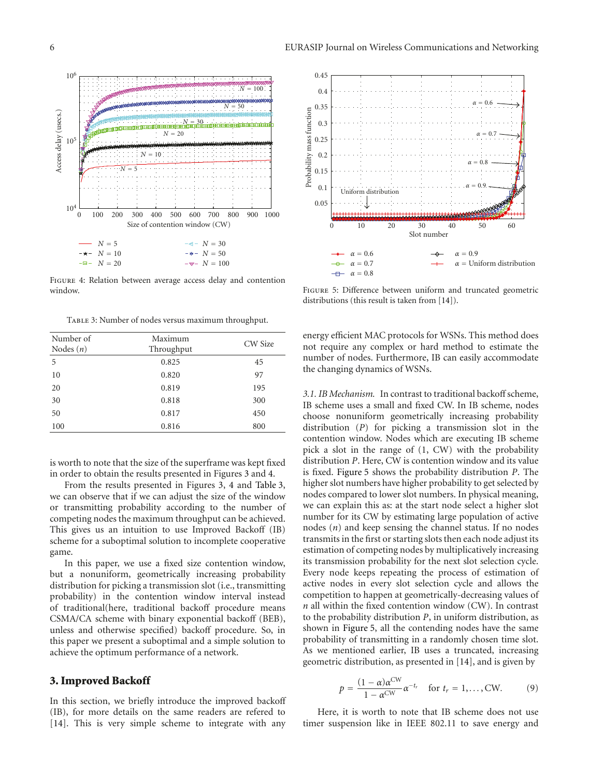

Figure 4: Relation between average access delay and contention window.

Table 3: Number of nodes versus maximum throughput.

| Number of<br>Nodes $(n)$ | Maximum<br>Throughput | CW Size |
|--------------------------|-----------------------|---------|
| 5                        | 0.825                 | 45      |
| 10                       | 0.820                 | 97      |
| 20                       | 0.819                 | 195     |
| 30                       | 0.818                 | 300     |
| 50                       | 0.817                 | 450     |
| 100                      | 0.816                 | 800     |
|                          |                       |         |

is worth to note that the size of the superframe was kept fixed in order to obtain the results presented in Figures 3 and 4.

From the results presented in Figures 3, 4 and Table 3, we can observe that if we can adjust the size of the window or transmitting probability according to the number of competing nodes the maximum throughput can be achieved. This gives us an intuition to use Improved Backoff (IB) scheme for a suboptimal solution to incomplete cooperative game.

In this paper, we use a fixed size contention window, but a nonuniform, geometrically increasing probability distribution for picking a transmission slot (i.e., transmitting probability) in the contention window interval instead of traditional(here, traditional backoff procedure means CSMA/CA scheme with binary exponential backoff (BEB), unless and otherwise specified) backoff procedure. So, in this paper we present a suboptimal and a simple solution to achieve the optimum performance of a network.

#### **3. Improved Backoff**

In this section, we briefly introduce the improved backoff (IB), for more details on the same readers are refered to [14]. This is very simple scheme to integrate with any



Figure 5: Difference between uniform and truncated geometric distributions (this result is taken from [14]).

energy efficient MAC protocols for WSNs. This method does not require any complex or hard method to estimate the number of nodes. Furthermore, IB can easily accommodate the changing dynamics of WSNs.

*3.1. IB Mechanism.* In contrast to traditional backoff scheme, IB scheme uses a small and fixed CW. In IB scheme, nodes choose nonuniform geometrically increasing probability distribution (*P*) for picking a transmission slot in the contention window. Nodes which are executing IB scheme pick a slot in the range of (1, CW) with the probability distribution *P*. Here, CW is contention window and its value is fixed. Figure 5 shows the probability distribution *P*. The higher slot numbers have higher probability to get selected by nodes compared to lower slot numbers. In physical meaning, we can explain this as: at the start node select a higher slot number for its CW by estimating large population of active nodes (*n*) and keep sensing the channel status. If no nodes transmits in the first or starting slots then each node adjust its estimation of competing nodes by multiplicatively increasing its transmission probability for the next slot selection cycle. Every node keeps repeating the process of estimation of active nodes in every slot selection cycle and allows the competition to happen at geometrically-decreasing values of *n* all within the fixed contention window (CW). In contrast to the probability distribution *P*, in uniform distribution, as shown in Figure 5, all the contending nodes have the same probability of transmitting in a randomly chosen time slot. As we mentioned earlier, IB uses a truncated, increasing geometric distribution, as presented in [14], and is given by

$$
p = \frac{(1 - \alpha)\alpha^{\text{CW}}}{1 - \alpha^{\text{CW}}} \alpha^{-t_r} \quad \text{for } t_r = 1, \dots, \text{CW}.
$$
 (9)

Here, it is worth to note that IB scheme does not use timer suspension like in IEEE 802.11 to save energy and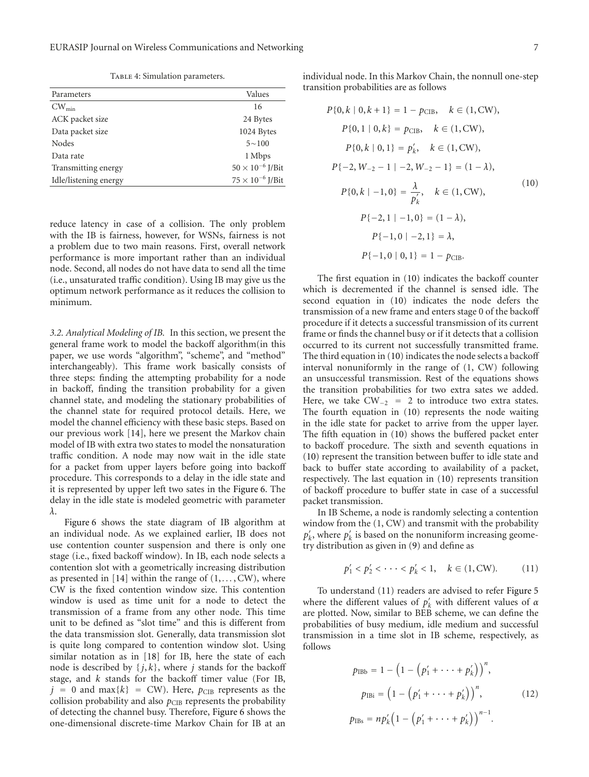| Parameters            | Values                    |
|-----------------------|---------------------------|
| $CW_{min}$            | 16                        |
| ACK packet size       | 24 Bytes                  |
| Data packet size      | 1024 Bytes                |
| <b>Nodes</b>          | $5 \sim 100$              |
| Data rate             | 1 Mbps                    |
| Transmitting energy   | $50 \times 10^{-6}$ J/Bit |
| Idle/listening energy | $75 \times 10^{-6}$ J/Bit |

reduce latency in case of a collision. The only problem with the IB is fairness, however, for WSNs, fairness is not a problem due to two main reasons. First, overall network performance is more important rather than an individual node. Second, all nodes do not have data to send all the time (i.e., unsaturated traffic condition). Using IB may give us the optimum network performance as it reduces the collision to minimum.

*3.2. Analytical Modeling of IB.* In this section, we present the general frame work to model the backoff algorithm(in this paper, we use words "algorithm", "scheme", and "method" interchangeably). This frame work basically consists of three steps: finding the attempting probability for a node in backoff, finding the transition probability for a given channel state, and modeling the stationary probabilities of the channel state for required protocol details. Here, we model the channel efficiency with these basic steps. Based on our previous work [14], here we present the Markov chain model of IB with extra two states to model the nonsaturation traffic condition. A node may now wait in the idle state for a packet from upper layers before going into backoff procedure. This corresponds to a delay in the idle state and it is represented by upper left two sates in the Figure 6. The delay in the idle state is modeled geometric with parameter *λ*.

Figure 6 shows the state diagram of IB algorithm at an individual node. As we explained earlier, IB does not use contention counter suspension and there is only one stage (i.e., fixed backoff window). In IB, each node selects a contention slot with a geometrically increasing distribution as presented in  $[14]$  within the range of  $(1, \ldots, CW)$ , where CW is the fixed contention window size. This contention window is used as time unit for a node to detect the transmission of a frame from any other node. This time unit to be defined as "slot time" and this is different from the data transmission slot. Generally, data transmission slot is quite long compared to contention window slot. Using similar notation as in [18] for IB, here the state of each node is described by  $\{j, k\}$ , where *j* stands for the backoff stage, and *k* stands for the backoff timer value (For IB,  $j = 0$  and max{ $k$ } = CW). Here,  $p_{\text{CIB}}$  represents as the collision probability and also  $p_{\text{CIB}}$  represents the probability of detecting the channel busy. Therefore, Figure 6 shows the one-dimensional discrete-time Markov Chain for IB at an

individual node. In this Markov Chain, the nonnull one-step transition probabilities are as follows

$$
P\{0, k \mid 0, k+1\} = 1 - p_{\text{CIB}}, \quad k \in (1, \text{CW}),
$$
  
\n
$$
P\{0, 1 \mid 0, k\} = p_{\text{CIB}}, \quad k \in (1, \text{CW}),
$$
  
\n
$$
P\{0, k \mid 0, 1\} = p'_k, \quad k \in (1, \text{CW}),
$$
  
\n
$$
P\{-2, W_{-2} - 1 \mid -2, W_{-2} - 1\} = (1 - \lambda),
$$
  
\n
$$
P\{0, k \mid -1, 0\} = \frac{\lambda}{p'_k}, \quad k \in (1, \text{CW}),
$$
  
\n
$$
P\{-2, 1 \mid -1, 0\} = (1 - \lambda),
$$
  
\n
$$
P\{-1, 0 \mid -2, 1\} = \lambda,
$$
  
\n
$$
P\{-1, 0 \mid 0, 1\} = 1 - p_{\text{CIB}}.
$$
  
\n(10)

The first equation in (10) indicates the backoff counter which is decremented if the channel is sensed idle. The second equation in (10) indicates the node defers the transmission of a new frame and enters stage 0 of the backoff procedure if it detects a successful transmission of its current frame or finds the channel busy or if it detects that a collision occurred to its current not successfully transmitted frame. The third equation in (10) indicates the node selects a backoff interval nonuniformly in the range of (1, CW) following an unsuccessful transmission. Rest of the equations shows the transition probabilities for two extra sates we added. Here, we take  $CW_{-2} = 2$  to introduce two extra states. The fourth equation in (10) represents the node waiting in the idle state for packet to arrive from the upper layer. The fifth equation in (10) shows the buffered packet enter to backoff procedure. The sixth and seventh equations in (10) represent the transition between buffer to idle state and back to buffer state according to availability of a packet, respectively. The last equation in (10) represents transition of backoff procedure to buffer state in case of a successful packet transmission.

In IB Scheme, a node is randomly selecting a contention window from the (1, CW) and transmit with the probability  $p'_k$ , where  $p'_k$  is based on the nonuniform increasing geometry distribution as given in (9) and define as

$$
p'_1 < p'_2 < \cdots < p'_k < 1, \quad k \in (1, \text{CW}).\tag{11}
$$

To understand (11) readers are advised to refer Figure 5 where the different values of  $p'_k$  with different values of *α* are plotted. Now, similar to BEB scheme, we can define the probabilities of busy medium, idle medium and successful transmission in a time slot in IB scheme, respectively, as follows

$$
p_{\text{IBb}} = 1 - \left(1 - \left(p_1' + \dots + p_k'\right)\right)^n, \np_{\text{IBi}} = \left(1 - \left(p_1' + \dots + p_k'\right)\right)^n, \np_{\text{IBs}} = np_k' \left(1 - \left(p_1' + \dots + p_k'\right)\right)^{n-1}.
$$
\n(12)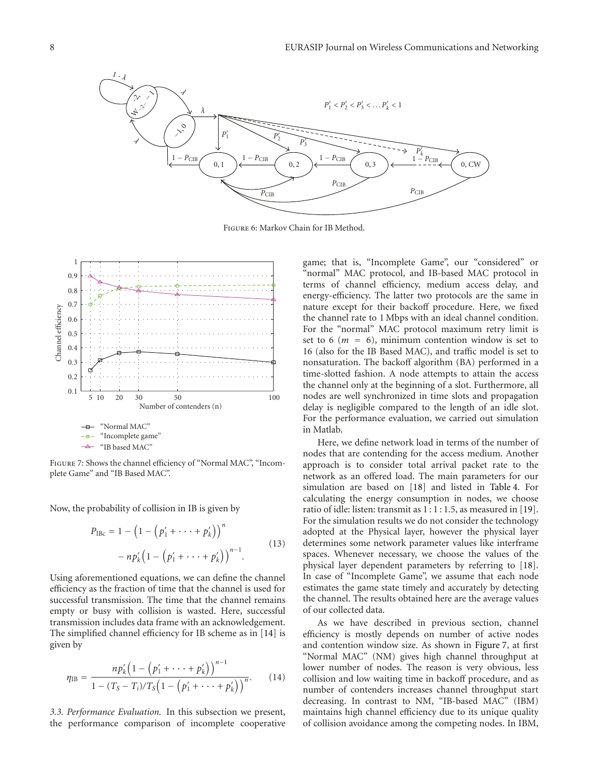

Figure 6: Markov Chain for IB Method.



Figure 7: Shows the channel efficiency of "Normal MAC", "Incomplete Game" and "IB Based MAC".

Now, the probability of collision in IB is given by

$$
P_{\text{IBc}} = 1 - \left(1 - \left(p_1' + \dots + p_k'\right)\right)^n - np_k'\left(1 - \left(p_1' + \dots + p_k'\right)\right)^{n-1}.
$$
\n(13)

Using aforementioned equations, we can define the channel efficiency as the fraction of time that the channel is used for successful transmission. The time that the channel remains empty or busy with collision is wasted. Here, successful transmission includes data frame with an acknowledgement. The simplified channel efficiency for IB scheme as in [14] is given by

$$
\eta_{\text{IB}} = \frac{np'_k \Big(1 - \Big(p'_1 + \dots + p'_k\Big)\Big)^{n-1}}{1 - (T_S - T_i)/T_S \Big(1 - \Big(p'_1 + \dots + p'_k\Big)\Big)^n}.
$$
 (14)

*3.3. Performance Evaluation.* In this subsection we present, the performance comparison of incomplete cooperative game; that is, "Incomplete Game", our "considered" or "normal" MAC protocol, and IB-based MAC protocol in terms of channel efficiency, medium access delay, and energy-efficiency. The latter two protocols are the same in nature except for their backoff procedure. Here, we fixed the channel rate to 1 Mbps with an ideal channel condition. For the "normal" MAC protocol maximum retry limit is set to  $6$  ( $m = 6$ ), minimum contention window is set to 16 (also for the IB Based MAC), and traffic model is set to nonsaturation. The backoff algorithm (BA) performed in a time-slotted fashion. A node attempts to attain the access the channel only at the beginning of a slot. Furthermore, all nodes are well synchronized in time slots and propagation delay is negligible compared to the length of an idle slot. For the performance evaluation, we carried out simulation in Matlab.

Here, we define network load in terms of the number of nodes that are contending for the access medium. Another approach is to consider total arrival packet rate to the network as an offered load. The main parameters for our simulation are based on [18] and listed in Table 4. For calculating the energy consumption in nodes, we choose ratio of idle: listen: transmit as  $1:1:1.5$ , as measured in [19]. For the simulation results we do not consider the technology adopted at the Physical layer, however the physical layer determines some network parameter values like interframe spaces. Whenever necessary, we choose the values of the physical layer dependent parameters by referring to [18]. In case of "Incomplete Game", we assume that each node estimates the game state timely and accurately by detecting the channel. The results obtained here are the average values of our collected data.

As we have described in previous section, channel efficiency is mostly depends on number of active nodes and contention window size. As shown in Figure 7, at first "Normal MAC" (NM) gives high channel throughput at lower number of nodes. The reason is very obvious, less collision and low waiting time in backoff procedure, and as number of contenders increases channel throughput start decreasing. In contrast to NM, "IB-based MAC" (IBM) maintains high channel efficiency due to its unique quality of collision avoidance among the competing nodes. In IBM,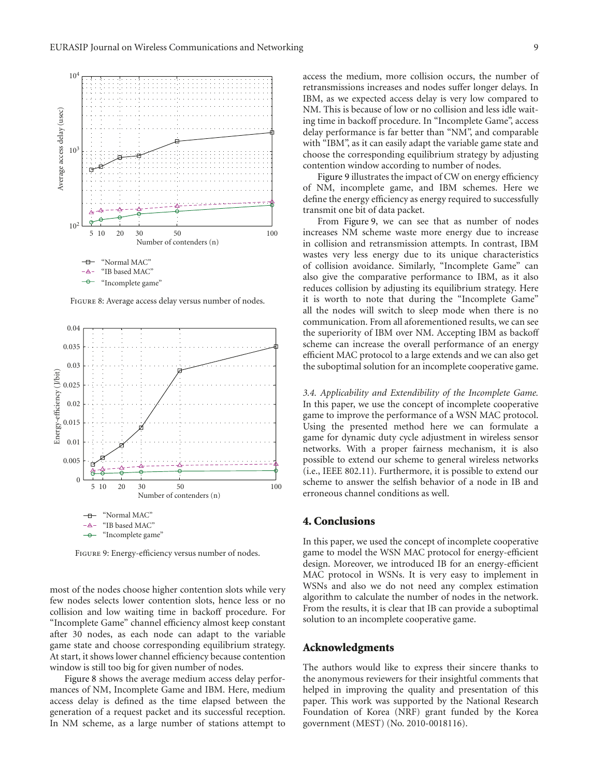

FIGURE 8: Average access delay versus number of nodes.



FIGURE 9: Energy-efficiency versus number of nodes.

most of the nodes choose higher contention slots while very few nodes selects lower contention slots, hence less or no collision and low waiting time in backoff procedure. For "Incomplete Game" channel efficiency almost keep constant after 30 nodes, as each node can adapt to the variable game state and choose corresponding equilibrium strategy. At start, it shows lower channel efficiency because contention window is still too big for given number of nodes.

Figure 8 shows the average medium access delay performances of NM, Incomplete Game and IBM. Here, medium access delay is defined as the time elapsed between the generation of a request packet and its successful reception. In NM scheme, as a large number of stations attempt to

access the medium, more collision occurs, the number of retransmissions increases and nodes suffer longer delays. In IBM, as we expected access delay is very low compared to NM. This is because of low or no collision and less idle waiting time in backoff procedure. In "Incomplete Game", access delay performance is far better than "NM", and comparable with "IBM", as it can easily adapt the variable game state and choose the corresponding equilibrium strategy by adjusting contention window according to number of nodes.

Figure 9 illustrates the impact of CW on energy efficiency of NM, incomplete game, and IBM schemes. Here we define the energy efficiency as energy required to successfully transmit one bit of data packet.

From Figure 9, we can see that as number of nodes increases NM scheme waste more energy due to increase in collision and retransmission attempts. In contrast, IBM wastes very less energy due to its unique characteristics of collision avoidance. Similarly, "Incomplete Game" can also give the comparative performance to IBM, as it also reduces collision by adjusting its equilibrium strategy. Here it is worth to note that during the "Incomplete Game" all the nodes will switch to sleep mode when there is no communication. From all aforementioned results, we can see the superiority of IBM over NM. Accepting IBM as backoff scheme can increase the overall performance of an energy efficient MAC protocol to a large extends and we can also get the suboptimal solution for an incomplete cooperative game.

*3.4. Applicability and Extendibility of the Incomplete Game.* In this paper, we use the concept of incomplete cooperative game to improve the performance of a WSN MAC protocol. Using the presented method here we can formulate a game for dynamic duty cycle adjustment in wireless sensor networks. With a proper fairness mechanism, it is also possible to extend our scheme to general wireless networks (i.e., IEEE 802.11). Furthermore, it is possible to extend our scheme to answer the selfish behavior of a node in IB and erroneous channel conditions as well.

## **4. Conclusions**

In this paper, we used the concept of incomplete cooperative game to model the WSN MAC protocol for energy-efficient design. Moreover, we introduced IB for an energy-efficient MAC protocol in WSNs. It is very easy to implement in WSNs and also we do not need any complex estimation algorithm to calculate the number of nodes in the network. From the results, it is clear that IB can provide a suboptimal solution to an incomplete cooperative game.

## **Acknowledgments**

The authors would like to express their sincere thanks to the anonymous reviewers for their insightful comments that helped in improving the quality and presentation of this paper. This work was supported by the National Research Foundation of Korea (NRF) grant funded by the Korea government (MEST) (No. 2010-0018116).